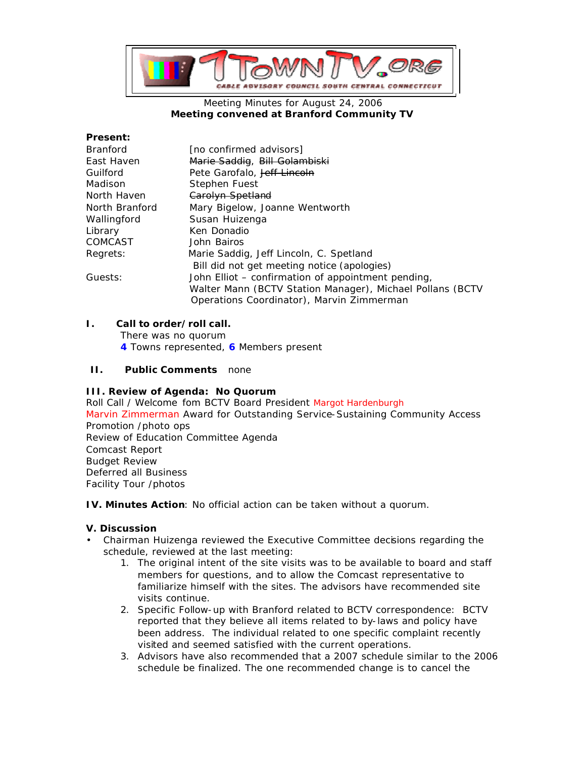

### Meeting Minutes for August 24, 2006 **Meeting convened at Branford Community TV**

### **Present:**

| <b>Branford</b> | [no confirmed advisors]                                   |
|-----------------|-----------------------------------------------------------|
| East Haven      | Marie Saddig, Bill Golambiski                             |
| Guilford        | Pete Garofalo, Jeff Lincoln                               |
| Madison         | Stephen Fuest                                             |
| North Haven     | Carolyn Spetland                                          |
| North Branford  | Mary Bigelow, Joanne Wentworth                            |
| Wallingford     | Susan Huizenga                                            |
| Library         | Ken Donadio                                               |
| <b>COMCAST</b>  | John Bairos                                               |
| Regrets:        | Marie Saddig, Jeff Lincoln, C. Spetland                   |
|                 | Bill did not get meeting notice (apologies)               |
| Guests:         | John Elliot – confirmation of appointment pending,        |
|                 | Walter Mann (BCTV Station Manager), Michael Pollans (BCTV |
|                 | Operations Coordinator), Marvin Zimmerman                 |

# **I. Call to order/roll call.**

There was no quorum **4** Towns represented, **6** Members present

# **II. Public Comments** none

# **III. Review of Agenda: No Quorum**

Roll Call / Welcome fom BCTV Board President Margot Hardenburgh Marvin Zimmerman Award for Outstanding Service-Sustaining Community Access Promotion /photo ops Review of Education Committee Agenda Comcast Report Budget Review Deferred all Business Facility Tour /photos

**IV. Minutes Action**: No official action can be taken without a quorum.

# **V. Discussion**

- Chairman Huizenga reviewed the Executive Committee decisions regarding the schedule, reviewed at the last meeting:
	- 1. The original intent of the site visits was to be available to board and staff members for questions, and to allow the Comcast representative to familiarize himself with the sites. The advisors have recommended site visits continue.
	- 2. Specific Follow-up with Branford related to BCTV correspondence: BCTV reported that they believe all items related to by-laws and policy have been address. The individual related to one specific complaint recently visited and seemed satisfied with the current operations.
	- 3. Advisors have also recommended that a 2007 schedule similar to the 2006 schedule be finalized. The one recommended change is to cancel the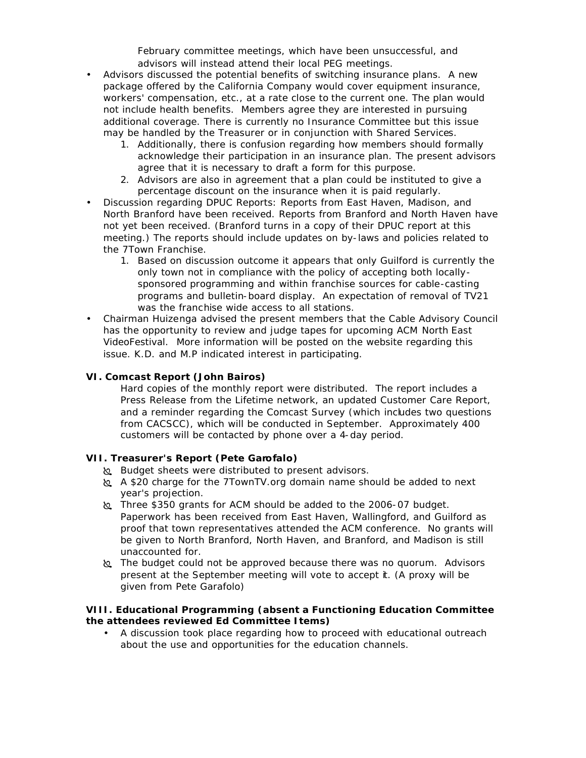February committee meetings, which have been unsuccessful, and advisors will instead attend their local PEG meetings.

- Advisors discussed the potential benefits of switching insurance plans. A new package offered by the California Company would cover equipment insurance, workers' compensation, etc., at a rate close to the current one. The plan would not include health benefits. Members agree they are interested in pursuing additional coverage. There is currently no Insurance Committee but this issue may be handled by the Treasurer or in conjunction with Shared Services.
	- 1. Additionally, there is confusion regarding how members should formally acknowledge their participation in an insurance plan. The present advisors agree that it is necessary to draft a form for this purpose.
	- 2. Advisors are also in agreement that a plan could be instituted to give a percentage discount on the insurance when it is paid regularly.
- Discussion regarding DPUC Reports: Reports from East Haven, Madison, and North Branford have been received. Reports from Branford and North Haven have not yet been received. (Branford turns in a copy of their DPUC report at this meeting.) The reports should include updates on by-laws and policies related to the 7Town Franchise.
	- 1. Based on discussion outcome it appears that only Guilford is currently the only town not in compliance with the policy of accepting both locallysponsored programming and within franchise sources for cable-casting programs and bulletin-board display. An expectation of removal of TV21 was the franchise wide access to all stations.
- Chairman Huizenga advised the present members that the Cable Advisory Council has the opportunity to review and judge tapes for upcoming ACM North East VideoFestival. More information will be posted on the website regarding this issue. K.D. and M.P indicated interest in participating.

# **VI. Comcast Report (John Bairos)**

Hard copies of the monthly report were distributed. The report includes a Press Release from the Lifetime network, an updated Customer Care Report, and a reminder regarding the Comcast Survey (which includes two questions from CACSCC), which will be conducted in September. Approximately 400 customers will be contacted by phone over a 4-day period.

# **VII. Treasurer's Report (Pete Garofalo)**

- œ Budget sheets were distributed to present advisors.
- œ A \$20 charge for the 7TownTV.org domain name should be added to next year's projection.
- œ Three \$350 grants for ACM should be added to the 2006-07 budget. Paperwork has been received from East Haven, Wallingford, and Guilford as proof that town representatives attended the ACM conference. No grants will be given to North Branford, North Haven, and Branford, and Madison is still unaccounted for.
- **EX** The budget could not be approved because there was no quorum. Advisors present at the September meeting will vote to accept it. (A proxy will be given from Pete Garafolo)

### **VIII. Educational Programming (absent a Functioning Education Committee the attendees reviewed Ed Committee Items)**

• A discussion took place regarding how to proceed with educational outreach about the use and opportunities for the education channels.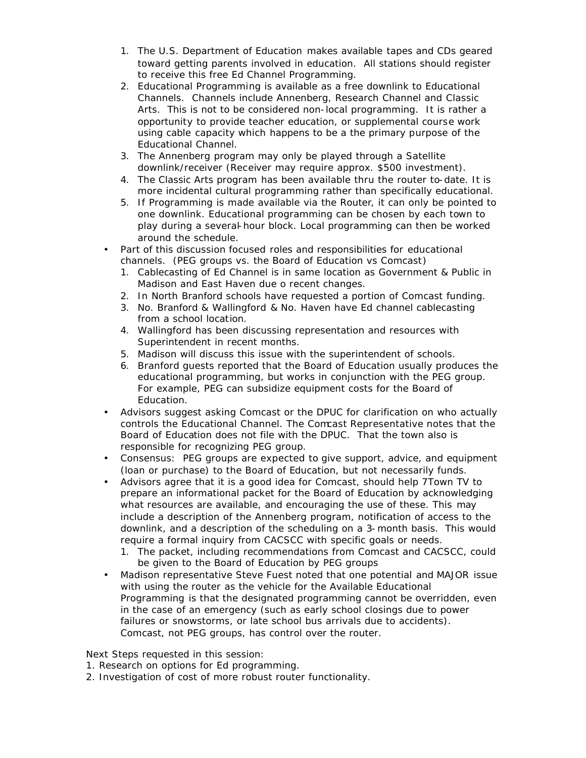- 1. The U.S. Department of Education makes available tapes and CDs geared toward getting parents involved in education. All stations should register to receive this free Ed Channel Programming.
- 2. Educational Programming is available as a free downlink to Educational Channels. Channels include Annenberg, Research Channel and Classic Arts. This is not to be considered non-local programming. It is rather a opportunity to provide teacher education, or supplemental course work using cable capacity which happens to be a the primary purpose of the Educational Channel.
- 3. The Annenberg program may only be played through a Satellite downlink/receiver (Receiver may require approx. \$500 investment).
- 4. The Classic Arts program has been available thru the router to-date. It is more incidental cultural programming rather than specifically educational.
- 5. If Programming is made available via the Router, it can only be pointed to one downlink. Educational programming can be chosen by each town to play during a several-hour block. Local programming can then be worked around the schedule.
- Part of this discussion focused roles and responsibilities for educational channels. (PEG groups vs. the Board of Education vs Comcast)
	- 1. Cablecasting of Ed Channel is in same location as Government & Public in Madison and East Haven due o recent changes.
	- 2. In North Branford schools have requested a portion of Comcast funding.
	- 3. No. Branford & Wallingford & No. Haven have Ed channel cablecasting from a school location.
	- 4. Wallingford has been discussing representation and resources with Superintendent in recent months.
	- 5. Madison will discuss this issue with the superintendent of schools.
	- 6. Branford guests reported that the Board of Education usually produces the educational programming, but works in conjunction with the PEG group. For example, PEG can subsidize equipment costs for the Board of Education.
- Advisors suggest asking Comcast or the DPUC for clarification on who actually controls the Educational Channel. The Comcast Representative notes that the Board of Education does not file with the DPUC. That the town also is responsible for recognizing PEG group.
- Consensus: PEG groups are expected to give support, advice, and equipment (loan or purchase) to the Board of Education, but not necessarily funds.
- Advisors agree that it is a good idea for Comcast, should help 7Town TV to prepare an informational packet for the Board of Education by acknowledging what resources are available, and encouraging the use of these. This may include a description of the Annenberg program, notification of access to the downlink, and a description of the scheduling on a 3-month basis. This would require a formal inquiry from CACSCC with specific goals or needs.
	- 1. The packet, including recommendations from Comcast and CACSCC, could be given to the Board of Education by PEG groups
- Madison representative Steve Fuest noted that one potential and MAJOR issue with using the router as the vehicle for the Available Educational Programming is that the designated programming cannot be overridden, even in the case of an emergency (such as early school closings due to power failures or snowstorms, or late school bus arrivals due to accidents). Comcast, not PEG groups, has control over the router.

Next Steps requested in this session:

- 1. Research on options for Ed programming.
- 2. Investigation of cost of more robust router functionality.